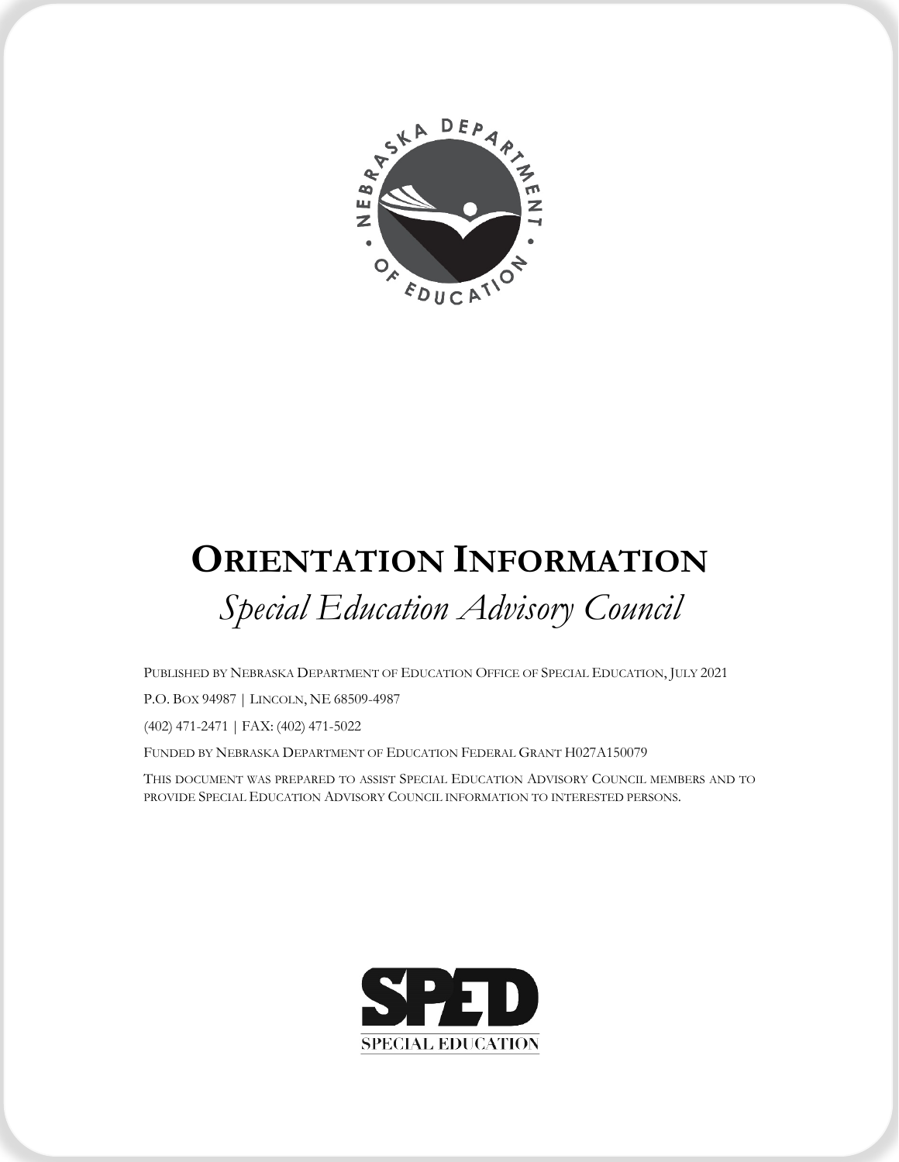

# **ORIENTATION INFORMATION** *Special Education Advisory Council*

PUBLISHED BY NEBRASKA DEPARTMENT OF EDUCATION OFFICE OF SPECIAL EDUCATION, JULY 2021

P.O. BOX 94987 | LINCOLN, NE 68509-4987

(402) 471-2471 | FAX: (402) 471-5022

FUNDED BY NEBRASKA DEPARTMENT OF EDUCATION FEDERAL GRANT H027A150079

THIS DOCUMENT WAS PREPARED TO ASSIST SPECIAL EDUCATION ADVISORY COUNCIL MEMBERS AND TO PROVIDE SPECIAL EDUCATION ADVISORY COUNCIL INFORMATION TO INTERESTED PERSONS.

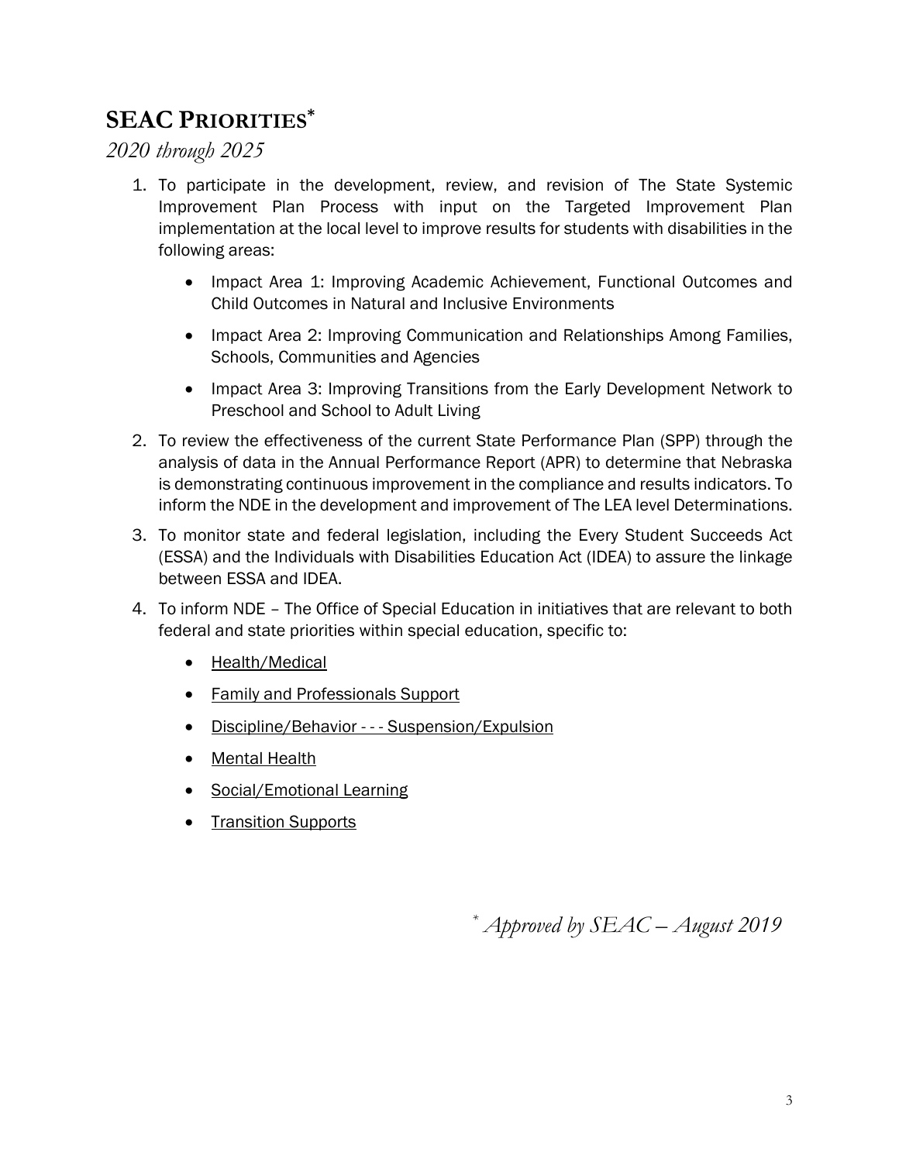# **SEAC PRIORITIES\***

*2020 through 2025*

- 1. To participate in the development, review, and revision of The State Systemic Improvement Plan Process with input on the Targeted Improvement Plan implementation at the local level to improve results for students with disabilities in the following areas:
	- Impact Area 1: Improving Academic Achievement, Functional Outcomes and Child Outcomes in Natural and Inclusive Environments
	- Impact Area 2: Improving Communication and Relationships Among Families, Schools, Communities and Agencies
	- Impact Area 3: Improving Transitions from the Early Development Network to Preschool and School to Adult Living
- 2. To review the effectiveness of the current State Performance Plan (SPP) through the analysis of data in the Annual Performance Report (APR) to determine that Nebraska is demonstrating continuous improvement in the compliance and results indicators. To inform the NDE in the development and improvement of The LEA level Determinations.
- 3. To monitor state and federal legislation, including the Every Student Succeeds Act (ESSA) and the Individuals with Disabilities Education Act (IDEA) to assure the linkage between ESSA and IDEA.
- 4. To inform NDE The Office of Special Education in initiatives that are relevant to both federal and state priorities within special education, specific to:
	- Health/Medical
	- Family and Professionals Support
	- Discipline/Behavior - Suspension/Expulsion
	- Mental Health
	- Social/Emotional Learning
	- Transition Supports

*\* Approved by SEAC – August 2019*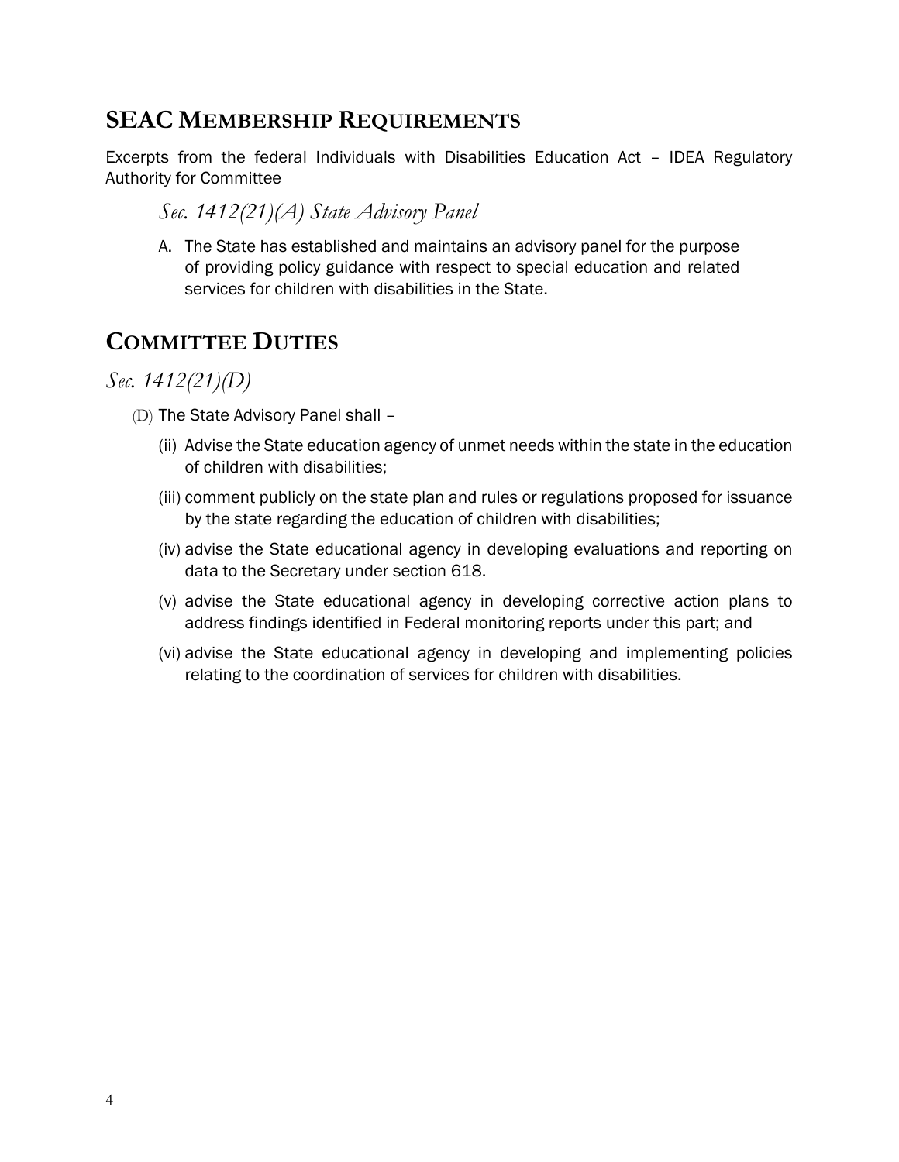## **SEAC MEMBERSHIP REQUIREMENTS**

Excerpts from the federal Individuals with Disabilities Education Act – IDEA Regulatory Authority for Committee

#### *Sec. 1412(21)(A) State Advisory Panel*

A. The State has established and maintains an advisory panel for the purpose of providing policy guidance with respect to special education and related services for children with disabilities in the State.

## **COMMITTEE DUTIES**

*Sec. 1412(21)(D)*

- (D) The State Advisory Panel shall
	- (ii) Advise the State education agency of unmet needs within the state in the education of children with disabilities;
	- (iii) comment publicly on the state plan and rules or regulations proposed for issuance by the state regarding the education of children with disabilities;
	- (iv) advise the State educational agency in developing evaluations and reporting on data to the Secretary under section 618.
	- (v) advise the State educational agency in developing corrective action plans to address findings identified in Federal monitoring reports under this part; and
	- (vi) advise the State educational agency in developing and implementing policies relating to the coordination of services for children with disabilities.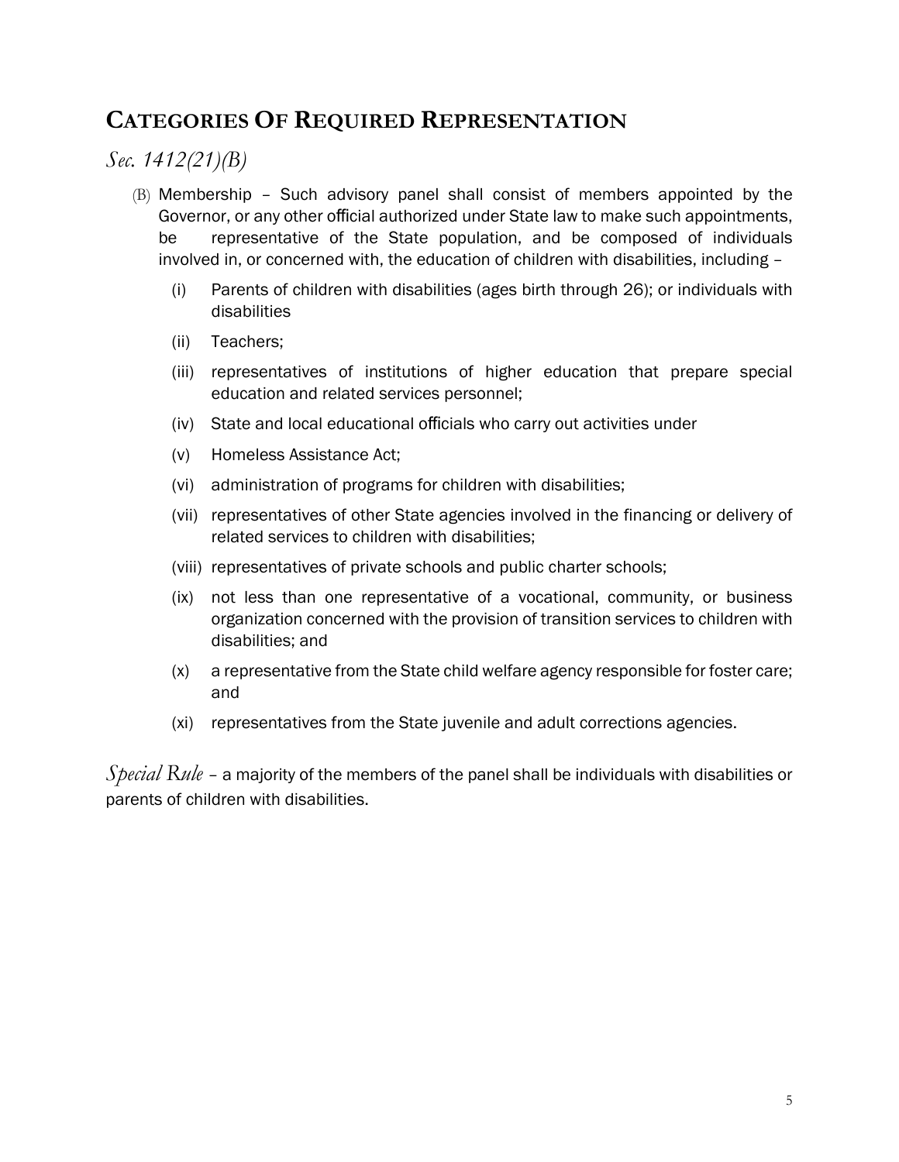## **CATEGORIES OF REQUIRED REPRESENTATION**

#### *Sec. 1412(21)(B)*

- (B) Membership Such advisory panel shall consist of members appointed by the Governor, or any other official authorized under State law to make such appointments, be representative of the State population, and be composed of individuals involved in, or concerned with, the education of children with disabilities, including –
	- (i) Parents of children with disabilities (ages birth through 26); or individuals with disabilities
	- (ii) Teachers;
	- (iii) representatives of institutions of higher education that prepare special education and related services personnel;
	- (iv) State and local educational officials who carry out activities under
	- (v) Homeless Assistance Act;
	- (vi) administration of programs for children with disabilities;
	- (vii) representatives of other State agencies involved in the financing or delivery of related services to children with disabilities;
	- (viii) representatives of private schools and public charter schools;
	- (ix) not less than one representative of a vocational, community, or business organization concerned with the provision of transition services to children with disabilities; and
	- (x) a representative from the State child welfare agency responsible for foster care; and
	- (xi) representatives from the State juvenile and adult corrections agencies.

*Special Rule* – a majority of the members of the panel shall be individuals with disabilities or parents of children with disabilities.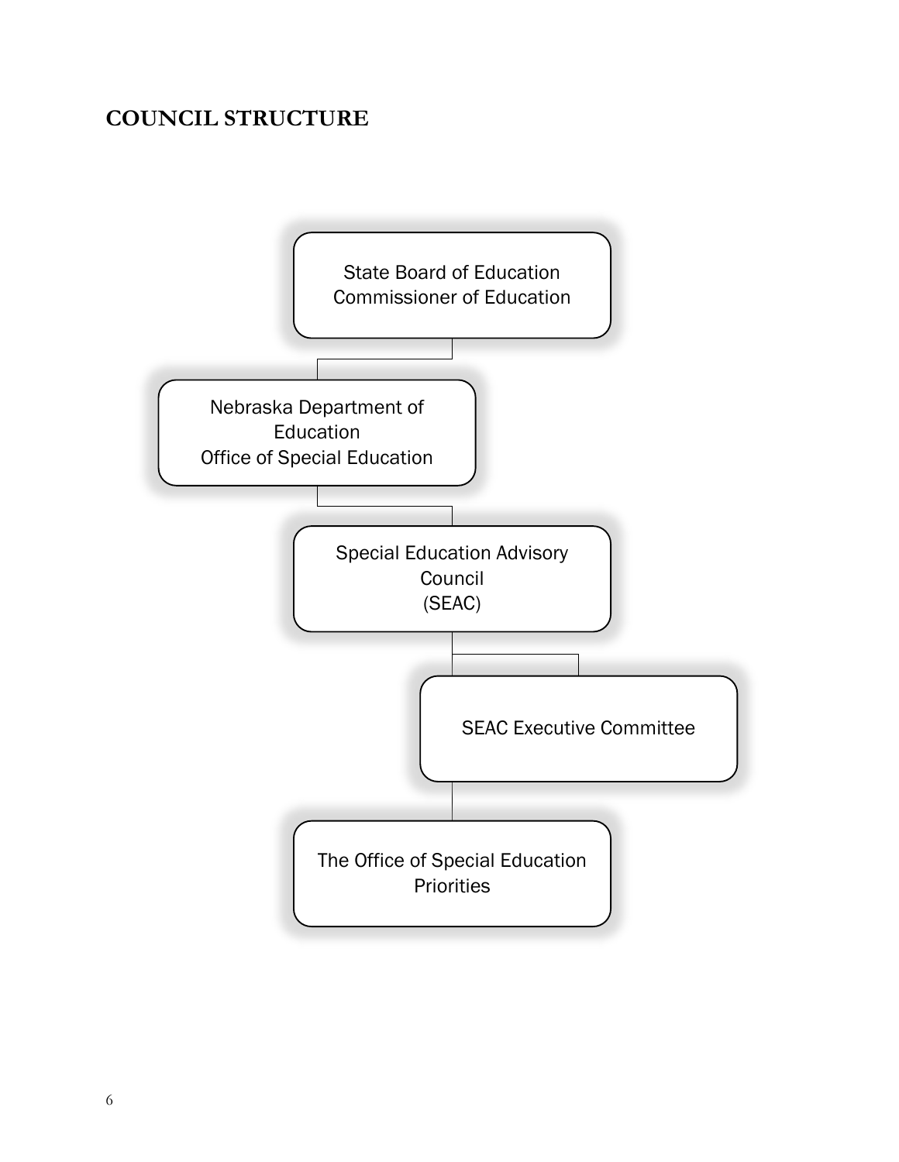## **COUNCIL STRUCTURE**

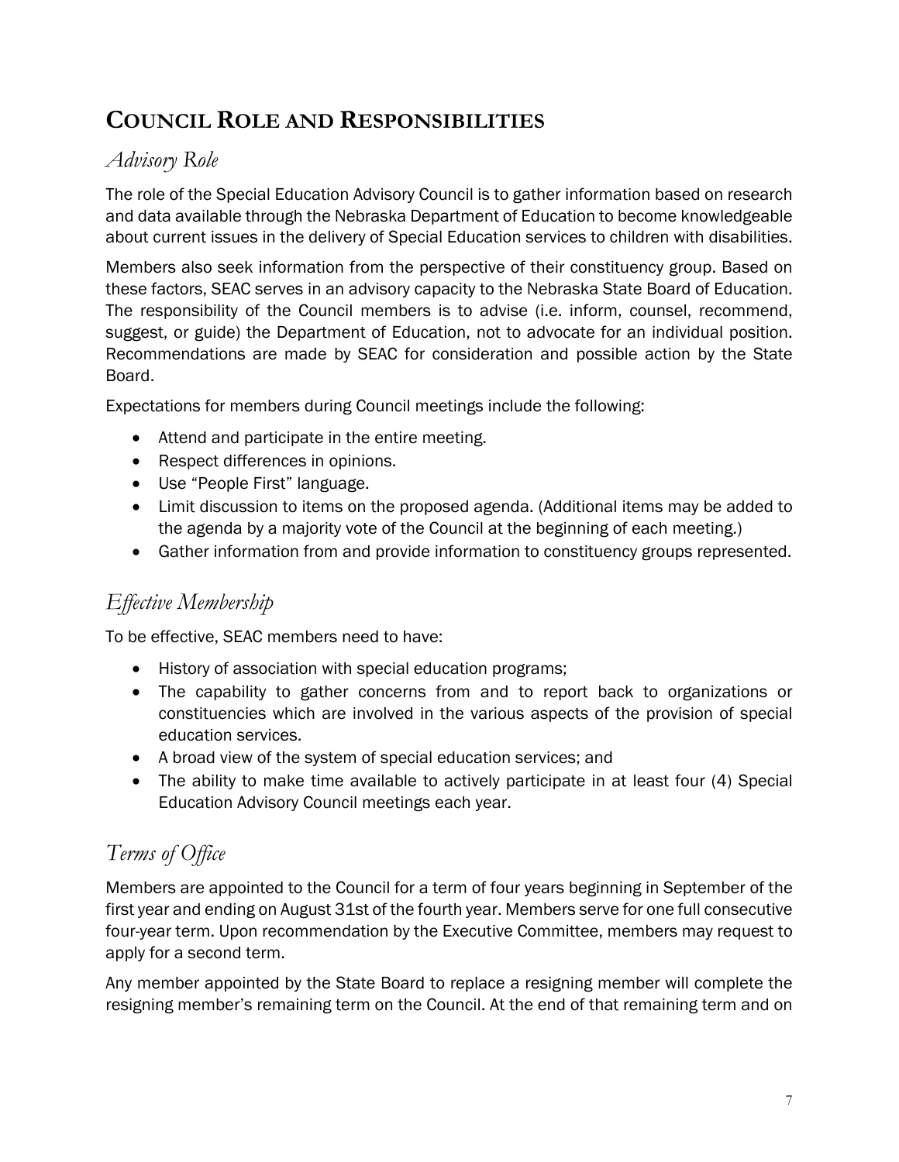# **COUNCIL ROLE AND RESPONSIBILITIES**

### *Advisory Role*

The role of the Special Education Advisory Council is to gather information based on research and data available through the Nebraska Department of Education to become knowledgeable about current issues in the delivery of Special Education services to children with disabilities.

Members also seek information from the perspective of their constituency group. Based on these factors, SEAC serves in an advisory capacity to the Nebraska State Board of Education. The responsibility of the Council members is to advise (i.e. inform, counsel, recommend, suggest, or guide) the Department of Education, not to advocate for an individual position. Recommendations are made by SEAC for consideration and possible action by the State Board.

Expectations for members during Council meetings include the following:

- Attend and participate in the entire meeting.
- Respect differences in opinions.
- Use "People First" language.
- Limit discussion to items on the proposed agenda. (Additional items may be added to the agenda by a majority vote of the Council at the beginning of each meeting.)
- Gather information from and provide information to constituency groups represented.

## *Effective Membership*

To be effective, SEAC members need to have:

- History of association with special education programs;
- The capability to gather concerns from and to report back to organizations or constituencies which are involved in the various aspects of the provision of special education services.
- A broad view of the system of special education services; and
- The ability to make time available to actively participate in at least four (4) Special Education Advisory Council meetings each year.

## *Terms of Office*

Members are appointed to the Council for a term of four years beginning in September of the first year and ending on August 31st of the fourth year. Members serve for one full consecutive four-year term. Upon recommendation by the Executive Committee, members may request to apply for a second term.

Any member appointed by the State Board to replace a resigning member will complete the resigning member's remaining term on the Council. At the end of that remaining term and on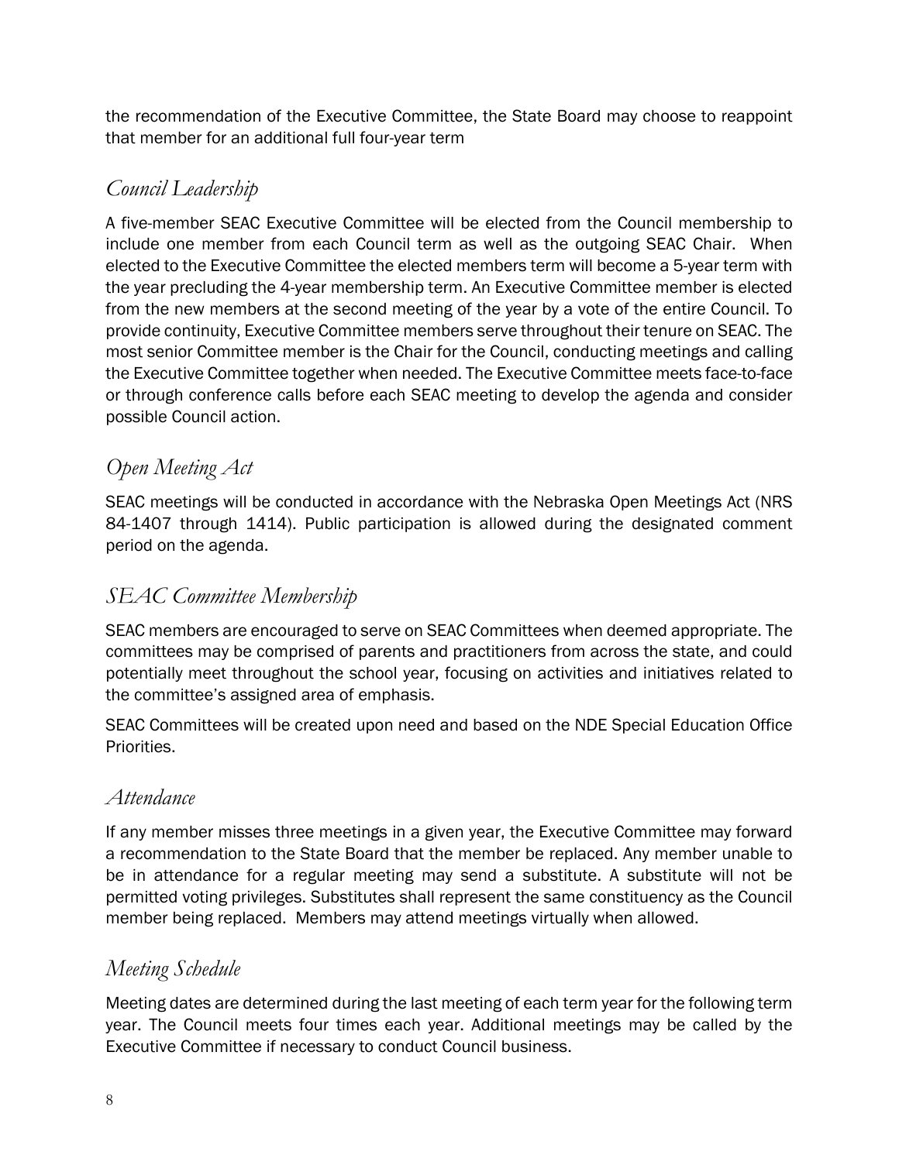the recommendation of the Executive Committee, the State Board may choose to reappoint that member for an additional full four-year term

## *Council Leadership*

A five-member SEAC Executive Committee will be elected from the Council membership to include one member from each Council term as well as the outgoing SEAC Chair. When elected to the Executive Committee the elected members term will become a 5-year term with the year precluding the 4-year membership term. An Executive Committee member is elected from the new members at the second meeting of the year by a vote of the entire Council. To provide continuity, Executive Committee members serve throughout their tenure on SEAC. The most senior Committee member is the Chair for the Council, conducting meetings and calling the Executive Committee together when needed. The Executive Committee meets face-to-face or through conference calls before each SEAC meeting to develop the agenda and consider possible Council action.

## *Open Meeting Act*

SEAC meetings will be conducted in accordance with the Nebraska Open Meetings Act (NRS 84-1407 through 1414). Public participation is allowed during the designated comment period on the agenda.

## *SEAC Committee Membership*

SEAC members are encouraged to serve on SEAC Committees when deemed appropriate. The committees may be comprised of parents and practitioners from across the state, and could potentially meet throughout the school year, focusing on activities and initiatives related to the committee's assigned area of emphasis.

SEAC Committees will be created upon need and based on the NDE Special Education Office Priorities.

#### *Attendance*

If any member misses three meetings in a given year, the Executive Committee may forward a recommendation to the State Board that the member be replaced. Any member unable to be in attendance for a regular meeting may send a substitute. A substitute will not be permitted voting privileges. Substitutes shall represent the same constituency as the Council member being replaced. Members may attend meetings virtually when allowed.

#### *Meeting Schedule*

Meeting dates are determined during the last meeting of each term year for the following term year. The Council meets four times each year. Additional meetings may be called by the Executive Committee if necessary to conduct Council business.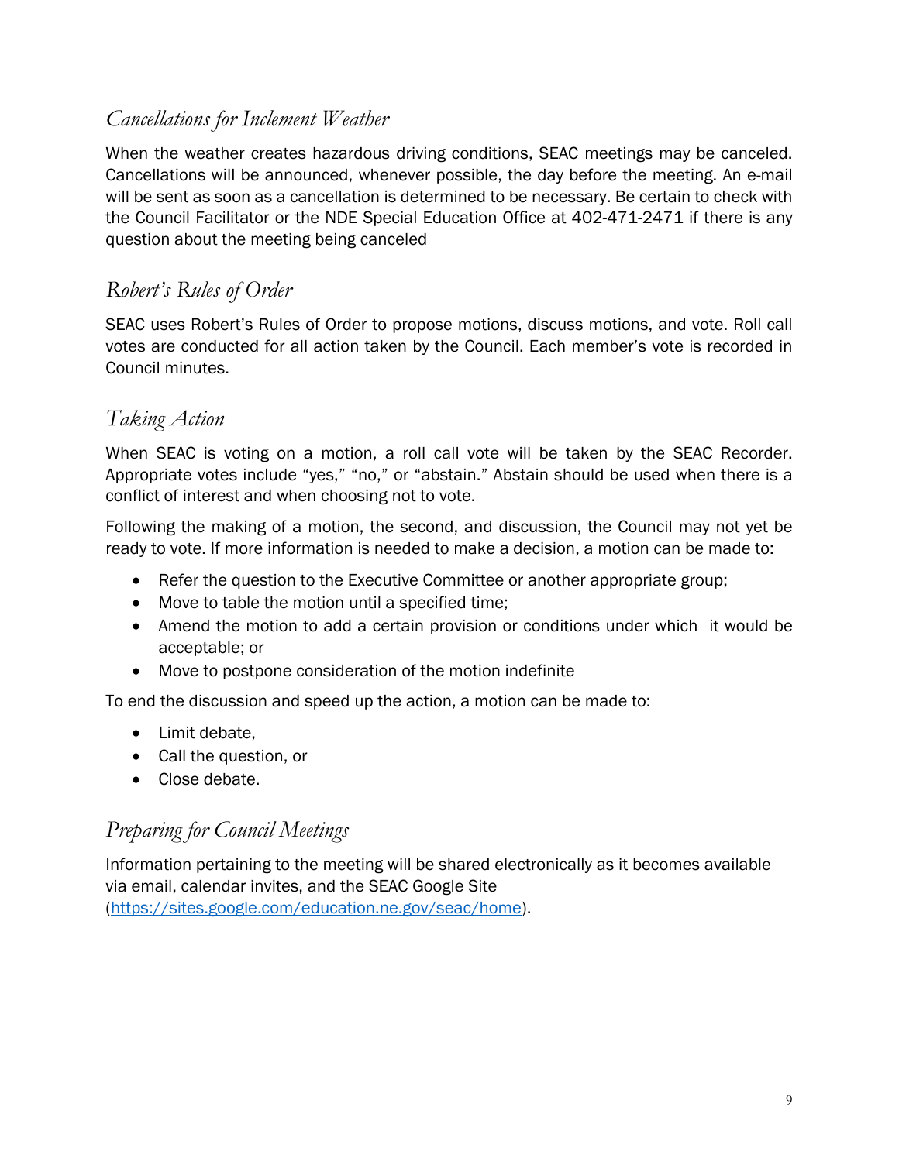#### *Cancellations for Inclement Weather*

When the weather creates hazardous driving conditions, SEAC meetings may be canceled. Cancellations will be announced, whenever possible, the day before the meeting. An e-mail will be sent as soon as a cancellation is determined to be necessary. Be certain to check with the Council Facilitator or the NDE Special Education Office at 402-471-2471 if there is any question about the meeting being canceled

### *Robert's Rules of Order*

SEAC uses Robert's Rules of Order to propose motions, discuss motions, and vote. Roll call votes are conducted for all action taken by the Council. Each member's vote is recorded in Council minutes.

#### *Taking Action*

When SEAC is voting on a motion, a roll call vote will be taken by the SEAC Recorder. Appropriate votes include "yes," "no," or "abstain." Abstain should be used when there is a conflict of interest and when choosing not to vote.

Following the making of a motion, the second, and discussion, the Council may not yet be ready to vote. If more information is needed to make a decision, a motion can be made to:

- Refer the question to the Executive Committee or another appropriate group;
- Move to table the motion until a specified time;
- Amend the motion to add a certain provision or conditions under which it would be acceptable; or
- Move to postpone consideration of the motion indefinite

To end the discussion and speed up the action, a motion can be made to:

- Limit debate,
- Call the question, or
- Close debate.

#### *Preparing for Council Meetings*

Information pertaining to the meeting will be shared electronically as it becomes available via email, calendar invites, and the SEAC Google Site [\(https://sites.google.com/education.ne.gov/seac/home\)](https://sites.google.com/education.ne.gov/seac/home).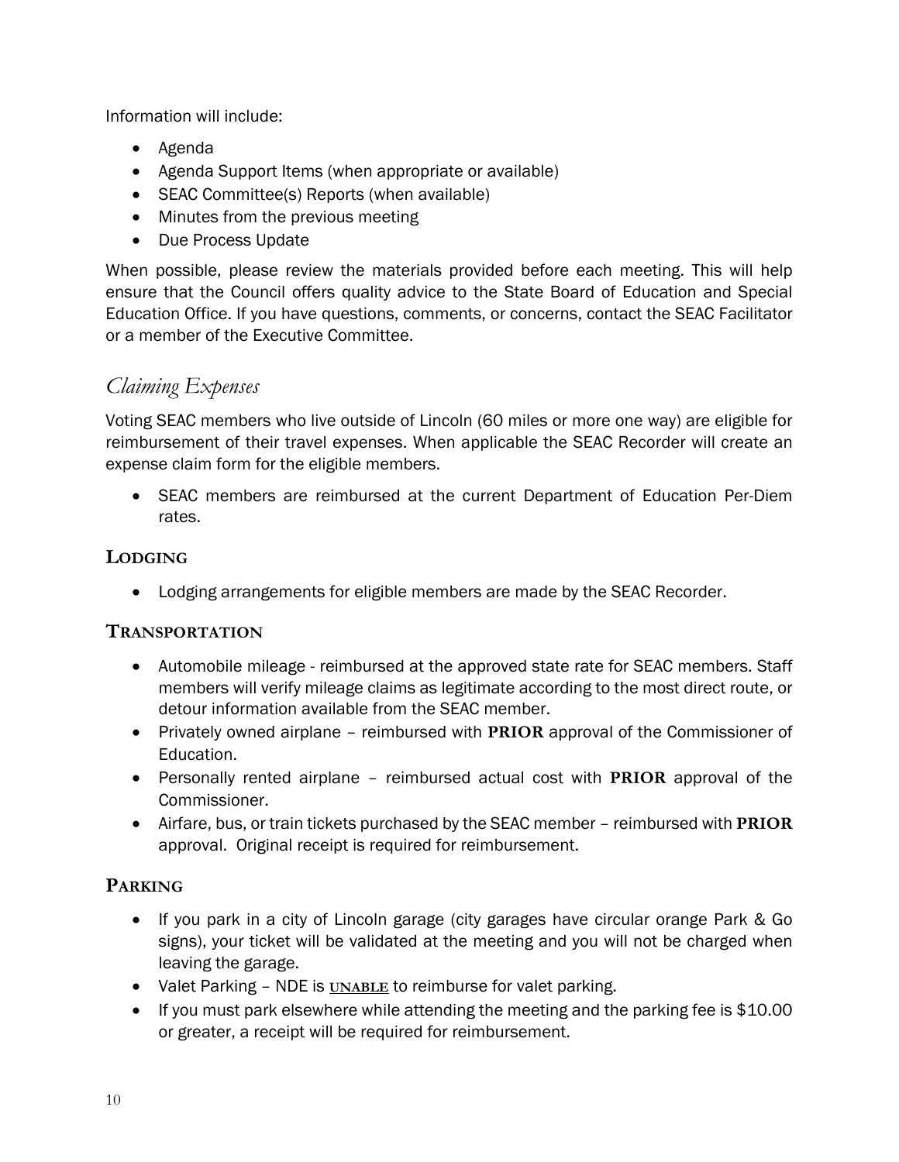Information will include:

- Agenda
- Agenda Support Items (when appropriate or available)
- SEAC Committee(s) Reports (when available)
- Minutes from the previous meeting
- Due Process Update

When possible, please review the materials provided before each meeting. This will help ensure that the Council offers quality advice to the State Board of Education and Special Education Office. If you have questions, comments, or concerns, contact the SEAC Facilitator or a member of the Executive Committee.

## *Claiming Expenses*

Voting SEAC members who live outside of Lincoln (60 miles or more one way) are eligible for reimbursement of their travel expenses. When applicable the SEAC Recorder will create an expense claim form for the eligible members.

• SEAC members are reimbursed at the current Department of Education Per-Diem rates.

#### **LODGING**

• Lodging arrangements for eligible members are made by the SEAC Recorder.

#### **TRANSPORTATION**

- Automobile mileage reimbursed at the approved state rate for SEAC members. Staff members will verify mileage claims as legitimate according to the most direct route, or detour information available from the SEAC member.
- Privately owned airplane reimbursed with **PRIOR** approval of the Commissioner of Education.
- Personally rented airplane reimbursed actual cost with **PRIOR** approval of the Commissioner.
- Airfare, bus, or train tickets purchased by the SEAC member reimbursed with **PRIOR** approval. Original receipt is required for reimbursement.

#### **PARKING**

- If you park in a city of Lincoln garage (city garages have circular orange Park & Go signs), your ticket will be validated at the meeting and you will not be charged when leaving the garage.
- Valet Parking NDE is **UNABLE** to reimburse for valet parking.
- If you must park elsewhere while attending the meeting and the parking fee is \$10.00 or greater, a receipt will be required for reimbursement.